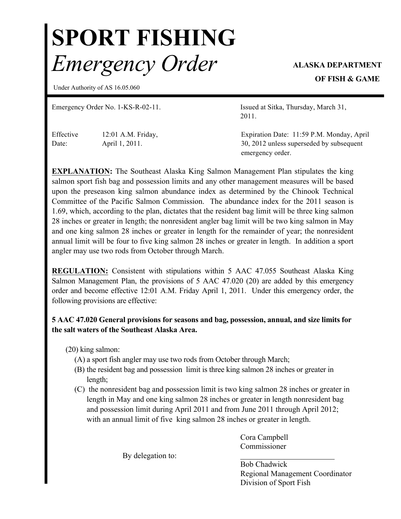## SPORT FISHING *Emergency Order* ALASKA DEPARTMENT

OF FISH & GAME

Under Authority of AS 16.05.060

Emergency Order No. 1-KS-R-02-11. Issued at Sitka, Thursday, March 31,

Effective Date:

12:01 A.M. Friday, April 1, 2011.

2011.

Expiration Date: 11:59 P.M. Monday, April 30, 2012 unless superseded by subsequent emergency order.

EXPLANATION: The Southeast Alaska King Salmon Management Plan stipulates the king salmon sport fish bag and possession limits and any other management measures will be based upon the preseason king salmon abundance index as determined by the Chinook Technical Committee of the Pacific Salmon Commission. The abundance index for the 2011 season is 1.69, which, according to the plan, dictates that the resident bag limit will be three king salmon 28 inches or greater in length; the nonresident angler bag limit will be two king salmon in May and one king salmon 28 inches or greater in length for the remainder of year; the nonresident annual limit will be four to five king salmon 28 inches or greater in length. In addition a sport angler may use two rods from October through March.

REGULATION: Consistent with stipulations within 5 AAC 47.055 Southeast Alaska King Salmon Management Plan, the provisions of 5 AAC 47.020 (20) are added by this emergency order and become effective 12:01 A.M. Friday April 1, 2011. Under this emergency order, the following provisions are effective:

## 5 AAC 47.020 General provisions for seasons and bag, possession, annual, and size limits for the salt waters of the Southeast Alaska Area.

(20) king salmon:

- (A) a sport fish angler may use two rods from October through March;
- (B) the resident bag and possession limit is three king salmon 28 inches or greater in length;
- (C) the nonresident bag and possession limit is two king salmon 28 inches or greater in length in May and one king salmon 28 inches or greater in length nonresident bag and possession limit during April 2011 and from June 2011 through April 2012; with an annual limit of five king salmon 28 inches or greater in length.

Cora Campbell Commissioner

By delegation to:

Bob Chadwick Regional Management Coordinator Division of Sport Fish